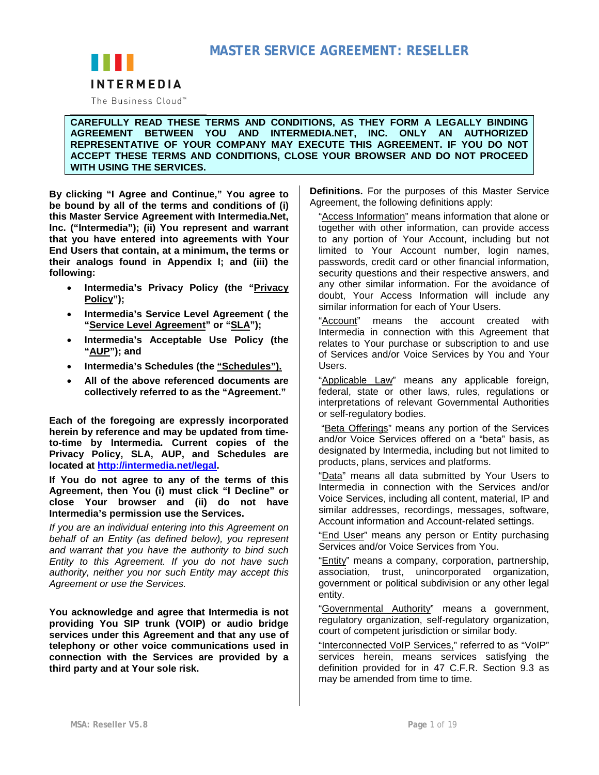

The Business Cloud<sup>™</sup>

### **CAREFULLY READ THESE TERMS AND CONDITIONS, AS THEY FORM A LEGALLY BINDING AGREEMENT BETWEEN YOU AND INTERMEDIA.NET, INC. ONLY AN AUTHORIZED REPRESENTATIVE OF YOUR COMPANY MAY EXECUTE THIS AGREEMENT. IF YOU DO NOT ACCEPT THESE TERMS AND CONDITIONS, CLOSE YOUR BROWSER AND DO NOT PROCEED WITH USING THE SERVICES.**

**By clicking "I Agree and Continue," You agree to be bound by all of the terms and conditions of (i) this Master Service Agreement with Intermedia.Net, Inc. ("Intermedia"); (ii) You represent and warrant that you have entered into agreements with Your End Users that contain, at a minimum, the terms or their analogs found in Appendix I; and (iii) the following:**

- **Intermedia's Privacy Policy (the "Privacy Policy");**
- **Intermedia's Service Level Agreement ( the "Service Level Agreement" or "SLA");**
- **Intermedia's Acceptable Use Policy (the "AUP"); and**
- **Intermedia's Schedules (the "Schedules").**
- **All of the above referenced documents are collectively referred to as the "Agreement."**

**Each of the foregoing are expressly incorporated herein by reference and may be updated from timeto-time by Intermedia. Current copies of the Privacy Policy, SLA, AUP, and Schedules are located at [http://intermedia.net/legal.](http://intermedia.net/legal)**

**If You do not agree to any of the terms of this Agreement, then You (i) must click "I Decline" or close Your browser and (ii) do not have Intermedia's permission use the Services.**

*If you are an individual entering into this Agreement on behalf of an Entity (as defined below), you represent and warrant that you have the authority to bind such Entity to this Agreement. If you do not have such authority, neither you nor such Entity may accept this Agreement or use the Services.*

**You acknowledge and agree that Intermedia is not providing You SIP trunk (VOIP) or audio bridge services under this Agreement and that any use of telephony or other voice communications used in connection with the Services are provided by a third party and at Your sole risk.**

**Definitions.** For the purposes of this Master Service Agreement, the following definitions apply:

"Access Information" means information that alone or together with other information, can provide access to any portion of Your Account, including but not limited to Your Account number, login names, passwords, credit card or other financial information, security questions and their respective answers, and any other similar information. For the avoidance of doubt, Your Access Information will include any similar information for each of Your Users.

"Account" means the account created with Intermedia in connection with this Agreement that relates to Your purchase or subscription to and use of Services and/or Voice Services by You and Your Users.

"Applicable Law" means any applicable foreign, federal, state or other laws, rules, regulations or interpretations of relevant Governmental Authorities or self-regulatory bodies.

"Beta Offerings" means any portion of the Services and/or Voice Services offered on a "beta" basis, as designated by Intermedia, including but not limited to products, plans, services and platforms.

"Data" means all data submitted by Your Users to Intermedia in connection with the Services and/or Voice Services, including all content, material, IP and similar addresses, recordings, messages, software, Account information and Account-related settings.

"End User" means any person or Entity purchasing Services and/or Voice Services from You.

"Entity" means a company, corporation, partnership, association, trust, unincorporated organization, government or political subdivision or any other legal entity.

"Governmental Authority" means a government, regulatory organization, self-regulatory organization, court of competent jurisdiction or similar body.

"Interconnected VoIP Services," referred to as "VoIP" services herein, means services satisfying the definition provided for in 47 C.F.R. Section 9.3 as may be amended from time to time.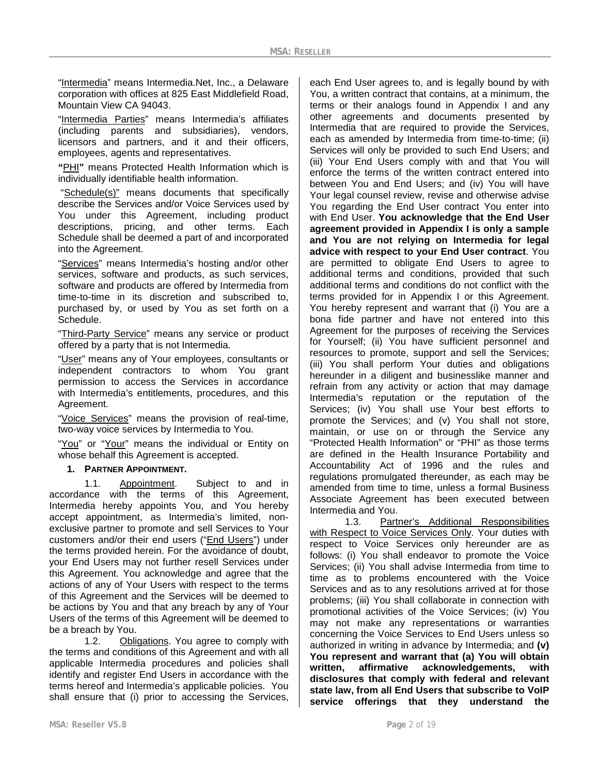"Intermedia" means Intermedia.Net, Inc., a Delaware corporation with offices at 825 East Middlefield Road, Mountain View CA 94043.

"Intermedia Parties" means Intermedia's affiliates (including parents and subsidiaries), vendors, licensors and partners, and it and their officers, employees, agents and representatives.

**"**PHI**"** means Protected Health Information which is individually identifiable health information.

"Schedule(s)" means documents that specifically describe the Services and/or Voice Services used by You under this Agreement, including product descriptions, pricing, and other terms. Each Schedule shall be deemed a part of and incorporated into the Agreement.

"Services" means Intermedia's hosting and/or other services, software and products, as such services, software and products are offered by Intermedia from time-to-time in its discretion and subscribed to, purchased by, or used by You as set forth on a Schedule.

"Third-Party Service" means any service or product offered by a party that is not Intermedia.

"User" means any of Your employees, consultants or independent contractors to whom You grant permission to access the Services in accordance with Intermedia's entitlements, procedures, and this Agreement.

"Voice Services" means the provision of real-time, two-way voice services by Intermedia to You.

"You" or "Your" means the individual or Entity on whose behalf this Agreement is accepted.

### **1. PARTNER APPOINTMENT.**

1.1. Appointment. Subject to and in accordance with the terms of this Agreement, Intermedia hereby appoints You, and You hereby accept appointment, as Intermedia's limited, nonexclusive partner to promote and sell Services to Your customers and/or their end users ("End Users") under the terms provided herein. For the avoidance of doubt, your End Users may not further resell Services under this Agreement. You acknowledge and agree that the actions of any of Your Users with respect to the terms of this Agreement and the Services will be deemed to be actions by You and that any breach by any of Your Users of the terms of this Agreement will be deemed to be a breach by You.

1.2. Obligations. You agree to comply with the terms and conditions of this Agreement and with all applicable Intermedia procedures and policies shall identify and register End Users in accordance with the terms hereof and Intermedia's applicable policies. You shall ensure that (i) prior to accessing the Services,

each End User agrees to, and is legally bound by with You, a written contract that contains, at a minimum, the terms or their analogs found in Appendix I and any other agreements and documents presented by Intermedia that are required to provide the Services, each as amended by Intermedia from time-to-time; (ii) Services will only be provided to such End Users; and (iii) Your End Users comply with and that You will enforce the terms of the written contract entered into between You and End Users; and (iv) You will have Your legal counsel review, revise and otherwise advise You regarding the End User contract You enter into with End User. **You acknowledge that the End User agreement provided in Appendix I is only a sample and You are not relying on Intermedia for legal advice with respect to your End User contract**. You are permitted to obligate End Users to agree to additional terms and conditions, provided that such additional terms and conditions do not conflict with the terms provided for in Appendix I or this Agreement. You hereby represent and warrant that (i) You are a bona fide partner and have not entered into this Agreement for the purposes of receiving the Services for Yourself; (ii) You have sufficient personnel and resources to promote, support and sell the Services; (iii) You shall perform Your duties and obligations hereunder in a diligent and businesslike manner and refrain from any activity or action that may damage Intermedia's reputation or the reputation of the Services; (iv) You shall use Your best efforts to promote the Services; and (v) You shall not store, maintain, or use on or through the Service any "Protected Health Information" or "PHI" as those terms are defined in the Health Insurance Portability and Accountability Act of 1996 and the rules and regulations promulgated thereunder, as each may be amended from time to time, unless a formal Business Associate Agreement has been executed between

Intermedia and You. Partner's Additional Responsibilities with Respect to Voice Services Only. Your duties with respect to Voice Services only hereunder are as follows: (i) You shall endeavor to promote the Voice Services; (ii) You shall advise Intermedia from time to time as to problems encountered with the Voice Services and as to any resolutions arrived at for those problems; (iii) You shall collaborate in connection with promotional activities of the Voice Services; (iv) You may not make any representations or warranties concerning the Voice Services to End Users unless so authorized in writing in advance by Intermedia; and **(v) You represent and warrant that (a) You will obtain written, affirmative acknowledgements, with disclosures that comply with federal and relevant state law, from all End Users that subscribe to VoIP service offerings that they understand the**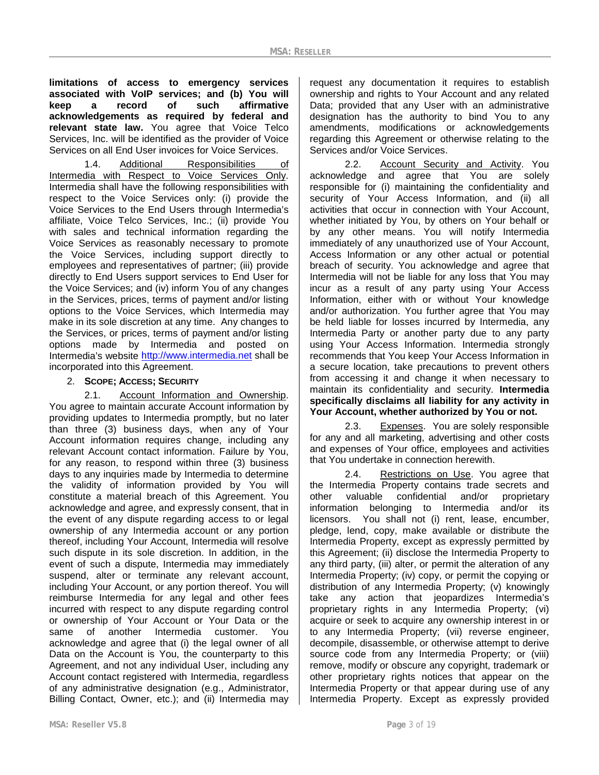**limitations of access to emergency services associated with VoIP services; and (b) You will keep a record of such affirmative acknowledgements as required by federal and relevant state law.** You agree that Voice Telco Services, Inc. will be identified as the provider of Voice Services on all End User invoices for Voice Services.

1.4. Additional Responsibilities of Intermedia with Respect to Voice Services Only. Intermedia shall have the following responsibilities with respect to the Voice Services only: (i) provide the Voice Services to the End Users through Intermedia's affiliate, Voice Telco Services, Inc.; (ii) provide You with sales and technical information regarding the Voice Services as reasonably necessary to promote the Voice Services, including support directly to employees and representatives of partner; (iii) provide directly to End Users support services to End User for the Voice Services; and (iv) inform You of any changes in the Services, prices, terms of payment and/or listing options to the Voice Services, which Intermedia may make in its sole discretion at any time. Any changes to the Services, or prices, terms of payment and/or listing options made by Intermedia and posted on Intermedia's website [http://www.intermedia.net](http://www.intermedia.net/) shall be incorporated into this Agreement.

### 2. **SCOPE; ACCESS; SECURITY**

2.1. Account Information and Ownership. You agree to maintain accurate Account information by providing updates to Intermedia promptly, but no later than three (3) business days, when any of Your Account information requires change, including any relevant Account contact information. Failure by You, for any reason, to respond within three (3) business days to any inquiries made by Intermedia to determine the validity of information provided by You will constitute a material breach of this Agreement. You acknowledge and agree, and expressly consent, that in the event of any dispute regarding access to or legal ownership of any Intermedia account or any portion thereof, including Your Account, Intermedia will resolve such dispute in its sole discretion. In addition, in the event of such a dispute, Intermedia may immediately suspend, alter or terminate any relevant account, including Your Account, or any portion thereof. You will reimburse Intermedia for any legal and other fees incurred with respect to any dispute regarding control or ownership of Your Account or Your Data or the same of another Intermedia customer. acknowledge and agree that (i) the legal owner of all Data on the Account is You, the counterparty to this Agreement, and not any individual User, including any Account contact registered with Intermedia, regardless of any administrative designation (e.g., Administrator, Billing Contact, Owner, etc.); and (ii) Intermedia may

request any documentation it requires to establish ownership and rights to Your Account and any related Data; provided that any User with an administrative designation has the authority to bind You to any amendments, modifications or acknowledgements regarding this Agreement or otherwise relating to the Services and/or Voice Services.

2.2. Account Security and Activity. You acknowledge and agree that You are solely responsible for (i) maintaining the confidentiality and security of Your Access Information, and (ii) all activities that occur in connection with Your Account, whether initiated by You, by others on Your behalf or by any other means. You will notify Intermedia immediately of any unauthorized use of Your Account, Access Information or any other actual or potential breach of security. You acknowledge and agree that Intermedia will not be liable for any loss that You may incur as a result of any party using Your Access Information, either with or without Your knowledge and/or authorization. You further agree that You may be held liable for losses incurred by Intermedia, any Intermedia Party or another party due to any party using Your Access Information. Intermedia strongly recommends that You keep Your Access Information in a secure location, take precautions to prevent others from accessing it and change it when necessary to maintain its confidentiality and security. **Intermedia specifically disclaims all liability for any activity in Your Account, whether authorized by You or not.**

2.3. Expenses. You are solely responsible for any and all marketing, advertising and other costs and expenses of Your office, employees and activities that You undertake in connection herewith.

2.4. Restrictions on Use. You agree that the Intermedia Property contains trade secrets and<br>other valuable confidential and/or proprietary other valuable confidential and/or proprietary information belonging to Intermedia and/or its licensors. You shall not (i) rent, lease, encumber, pledge, lend, copy, make available or distribute the Intermedia Property, except as expressly permitted by this Agreement; (ii) disclose the Intermedia Property to any third party, (iii) alter, or permit the alteration of any Intermedia Property; (iv) copy, or permit the copying or distribution of any Intermedia Property; (v) knowingly take any action that jeopardizes Intermedia's proprietary rights in any Intermedia Property; (vi) acquire or seek to acquire any ownership interest in or to any Intermedia Property; (vii) reverse engineer, decompile, disassemble, or otherwise attempt to derive source code from any Intermedia Property; or (viii) remove, modify or obscure any copyright, trademark or other proprietary rights notices that appear on the Intermedia Property or that appear during use of any Intermedia Property. Except as expressly provided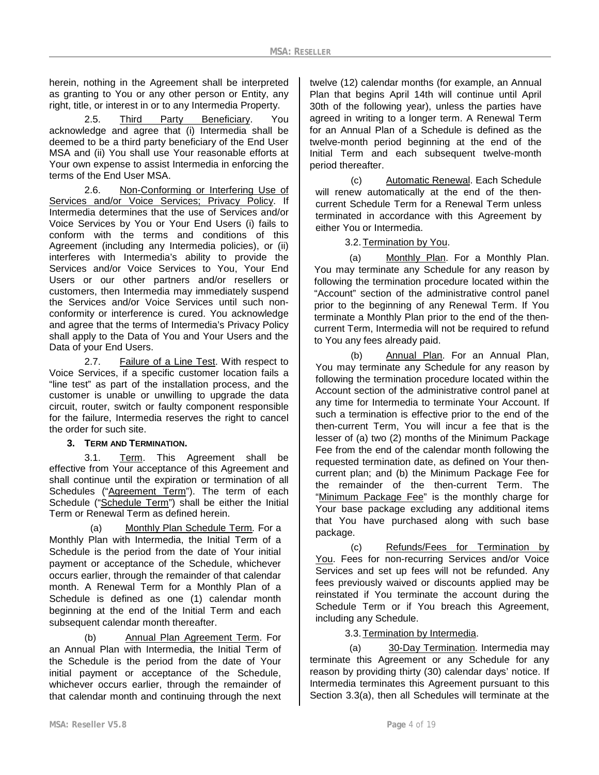herein, nothing in the Agreement shall be interpreted as granting to You or any other person or Entity, any right, title, or interest in or to any Intermedia Property.

2.5. Third Party Beneficiary. You acknowledge and agree that (i) Intermedia shall be deemed to be a third party beneficiary of the End User MSA and (ii) You shall use Your reasonable efforts at Your own expense to assist Intermedia in enforcing the terms of the End User MSA.

2.6. Non-Conforming or Interfering Use of Services and/or Voice Services; Privacy Policy. If Intermedia determines that the use of Services and/or Voice Services by You or Your End Users (i) fails to conform with the terms and conditions of this Agreement (including any Intermedia policies), or (ii) interferes with Intermedia's ability to provide the Services and/or Voice Services to You, Your End Users or our other partners and/or resellers or customers, then Intermedia may immediately suspend the Services and/or Voice Services until such nonconformity or interference is cured. You acknowledge and agree that the terms of Intermedia's Privacy Policy shall apply to the Data of You and Your Users and the Data of your End Users.

2.7. Failure of a Line Test. With respect to Voice Services, if a specific customer location fails a "line test" as part of the installation process, and the customer is unable or unwilling to upgrade the data circuit, router, switch or faulty component responsible for the failure, Intermedia reserves the right to cancel the order for such site.

### **3. TERM AND TERMINATION.**

3.1. Term. This Agreement shall be effective from Your acceptance of this Agreement and shall continue until the expiration or termination of all Schedules ("Agreement Term"). The term of each Schedule ("Schedule Term") shall be either the Initial Term or Renewal Term as defined herein.

(a) Monthly Plan Schedule Term*.* For a Monthly Plan with Intermedia, the Initial Term of a Schedule is the period from the date of Your initial payment or acceptance of the Schedule, whichever occurs earlier, through the remainder of that calendar month. A Renewal Term for a Monthly Plan of a Schedule is defined as one (1) calendar month beginning at the end of the Initial Term and each subsequent calendar month thereafter.

(b) Annual Plan Agreement Term. For an Annual Plan with Intermedia, the Initial Term of the Schedule is the period from the date of Your initial payment or acceptance of the Schedule, whichever occurs earlier, through the remainder of that calendar month and continuing through the next twelve (12) calendar months (for example, an Annual Plan that begins April 14th will continue until April 30th of the following year), unless the parties have agreed in writing to a longer term. A Renewal Term for an Annual Plan of a Schedule is defined as the twelve-month period beginning at the end of the Initial Term and each subsequent twelve-month period thereafter.

(c) Automatic Renewal. Each Schedule will renew automatically at the end of the thencurrent Schedule Term for a Renewal Term unless terminated in accordance with this Agreement by either You or Intermedia.

3.2.Termination by You.

(a) Monthly Plan. For a Monthly Plan. You may terminate any Schedule for any reason by following the termination procedure located within the "Account" section of the administrative control panel prior to the beginning of any Renewal Term. If You terminate a Monthly Plan prior to the end of the thencurrent Term, Intermedia will not be required to refund to You any fees already paid.

(b) Annual Plan. For an Annual Plan, You may terminate any Schedule for any reason by following the termination procedure located within the Account section of the administrative control panel at any time for Intermedia to terminate Your Account. If such a termination is effective prior to the end of the then-current Term, You will incur a fee that is the lesser of (a) two (2) months of the Minimum Package Fee from the end of the calendar month following the requested termination date, as defined on Your thencurrent plan; and (b) the Minimum Package Fee for the remainder of the then-current Term. The "Minimum Package Fee" is the monthly charge for Your base package excluding any additional items that You have purchased along with such base package.

(c) Refunds/Fees for Termination by You. Fees for non-recurring Services and/or Voice Services and set up fees will not be refunded. Any fees previously waived or discounts applied may be reinstated if You terminate the account during the Schedule Term or if You breach this Agreement, including any Schedule.

3.3.Termination by Intermedia.

(a) 30-Day Termination. Intermedia may terminate this Agreement or any Schedule for any reason by providing thirty (30) calendar days' notice. If Intermedia terminates this Agreement pursuant to this Section 3.3(a), then all Schedules will terminate at the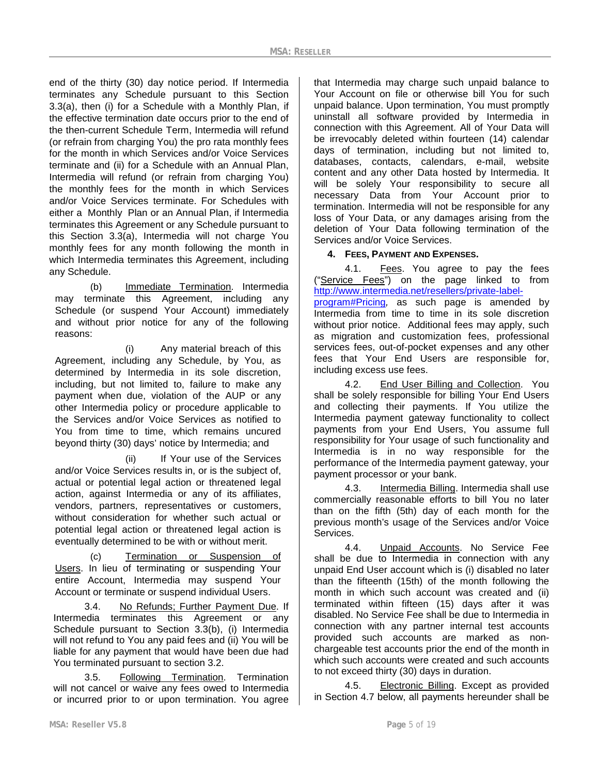end of the thirty (30) day notice period. If Intermedia terminates any Schedule pursuant to this Section 3.3(a), then (i) for a Schedule with a Monthly Plan, if the effective termination date occurs prior to the end of the then-current Schedule Term, Intermedia will refund (or refrain from charging You) the pro rata monthly fees for the month in which Services and/or Voice Services terminate and (ii) for a Schedule with an Annual Plan, Intermedia will refund (or refrain from charging You) the monthly fees for the month in which Services and/or Voice Services terminate. For Schedules with either a Monthly Plan or an Annual Plan, if Intermedia terminates this Agreement or any Schedule pursuant to this Section 3.3(a), Intermedia will not charge You monthly fees for any month following the month in which Intermedia terminates this Agreement, including any Schedule.

(b) Immediate Termination. Intermedia may terminate this Agreement, including any Schedule (or suspend Your Account) immediately and without prior notice for any of the following reasons:

(i) Any material breach of this Agreement, including any Schedule, by You, as determined by Intermedia in its sole discretion, including, but not limited to, failure to make any payment when due, violation of the AUP or any other Intermedia policy or procedure applicable to the Services and/or Voice Services as notified to You from time to time, which remains uncured beyond thirty (30) days' notice by Intermedia; and

(ii) If Your use of the Services and/or Voice Services results in, or is the subject of, actual or potential legal action or threatened legal action, against Intermedia or any of its affiliates, vendors, partners, representatives or customers, without consideration for whether such actual or potential legal action or threatened legal action is eventually determined to be with or without merit.

(c) Termination or Suspension of Users. In lieu of terminating or suspending Your entire Account, Intermedia may suspend Your Account or terminate or suspend individual Users.

3.4. No Refunds; Further Payment Due. If Intermedia terminates this Agreement or any Schedule pursuant to Section 3.3(b), (i) Intermedia will not refund to You any paid fees and (ii) You will be liable for any payment that would have been due had You terminated pursuant to section 3.2.

3.5. Following Termination. Termination will not cancel or waive any fees owed to Intermedia or incurred prior to or upon termination. You agree

that Intermedia may charge such unpaid balance to Your Account on file or otherwise bill You for such unpaid balance. Upon termination, You must promptly uninstall all software provided by Intermedia in connection with this Agreement. All of Your Data will be irrevocably deleted within fourteen (14) calendar days of termination, including but not limited to, databases, contacts, calendars, e-mail, website content and any other Data hosted by Intermedia. It will be solely Your responsibility to secure all necessary Data from Your Account prior to termination. Intermedia will not be responsible for any loss of Your Data, or any damages arising from the deletion of Your Data following termination of the Services and/or Voice Services.

### **4. FEES, PAYMENT AND EXPENSES.**

4.1. Fees. You agree to pay the fees ("Service Fees") on the page linked to from [http://www.intermedia.net/resellers/private-label](http://www.intermedia.net/resellers/private-label-program%23Pricing)[program#Pricing](http://www.intermedia.net/resellers/private-label-program%23Pricing)*,* as such page is amended by Intermedia from time to time in its sole discretion without prior notice. Additional fees may apply, such as migration and customization fees, professional services fees, out-of-pocket expenses and any other fees that Your End Users are responsible for, including excess use fees.

4.2. End User Billing and Collection. You shall be solely responsible for billing Your End Users and collecting their payments. If You utilize the Intermedia payment gateway functionality to collect payments from your End Users, You assume full responsibility for Your usage of such functionality and Intermedia is in no way responsible for the performance of the Intermedia payment gateway, your payment processor or your bank.

4.3. Intermedia Billing. Intermedia shall use commercially reasonable efforts to bill You no later than on the fifth (5th) day of each month for the previous month's usage of the Services and/or Voice **Services** 

4.4. Unpaid Accounts. No Service Fee shall be due to Intermedia in connection with any unpaid End User account which is (i) disabled no later than the fifteenth (15th) of the month following the month in which such account was created and (ii) terminated within fifteen (15) days after it was disabled. No Service Fee shall be due to Intermedia in connection with any partner internal test accounts provided such accounts are marked as nonchargeable test accounts prior the end of the month in which such accounts were created and such accounts to not exceed thirty (30) days in duration.

4.5. Electronic Billing. Except as provided in Section 4.7 below, all payments hereunder shall be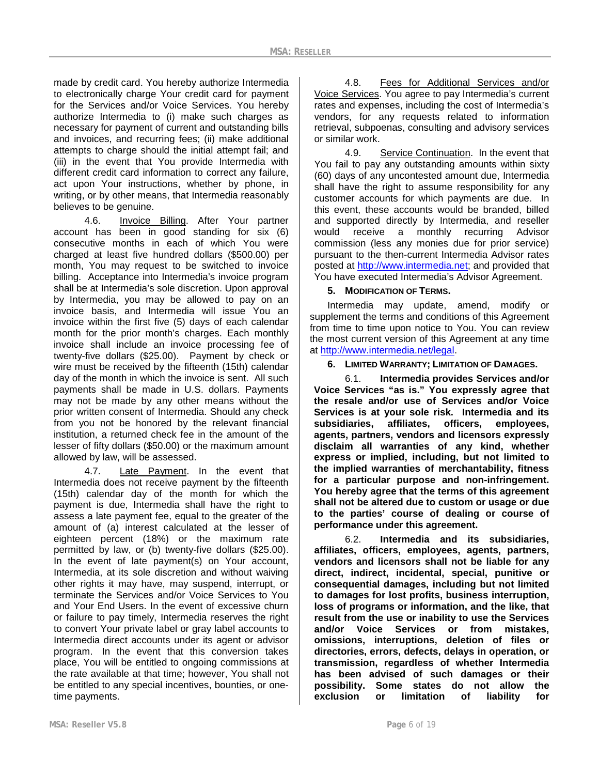made by credit card. You hereby authorize Intermedia to electronically charge Your credit card for payment for the Services and/or Voice Services. You hereby authorize Intermedia to (i) make such charges as necessary for payment of current and outstanding bills and invoices, and recurring fees; (ii) make additional attempts to charge should the initial attempt fail; and (iii) in the event that You provide Intermedia with different credit card information to correct any failure, act upon Your instructions, whether by phone, in writing, or by other means, that Intermedia reasonably believes to be genuine.

4.6. Invoice Billing. After Your partner account has been in good standing for six (6) consecutive months in each of which You were charged at least five hundred dollars (\$500.00) per month, You may request to be switched to invoice billing. Acceptance into Intermedia's invoice program shall be at Intermedia's sole discretion. Upon approval by Intermedia, you may be allowed to pay on an invoice basis, and Intermedia will issue You an invoice within the first five (5) days of each calendar month for the prior month's charges. Each monthly invoice shall include an invoice processing fee of twenty-five dollars (\$25.00). Payment by check or wire must be received by the fifteenth (15th) calendar day of the month in which the invoice is sent. All such payments shall be made in U.S. dollars. Payments may not be made by any other means without the prior written consent of Intermedia. Should any check from you not be honored by the relevant financial institution, a returned check fee in the amount of the lesser of fifty dollars (\$50.00) or the maximum amount allowed by law, will be assessed.

4.7. Late Payment. In the event that Intermedia does not receive payment by the fifteenth (15th) calendar day of the month for which the payment is due, Intermedia shall have the right to assess a late payment fee, equal to the greater of the amount of (a) interest calculated at the lesser of eighteen percent (18%) or the maximum rate permitted by law, or (b) twenty-five dollars (\$25.00). In the event of late payment(s) on Your account, Intermedia, at its sole discretion and without waiving other rights it may have, may suspend, interrupt, or terminate the Services and/or Voice Services to You and Your End Users. In the event of excessive churn or failure to pay timely, Intermedia reserves the right to convert Your private label or gray label accounts to Intermedia direct accounts under its agent or advisor program. In the event that this conversion takes place, You will be entitled to ongoing commissions at the rate available at that time; however, You shall not be entitled to any special incentives, bounties, or onetime payments.

4.8. Fees for Additional Services and/or Voice Services. You agree to pay Intermedia's current rates and expenses, including the cost of Intermedia's vendors, for any requests related to information retrieval, subpoenas, consulting and advisory services or similar work.

4.9. Service Continuation. In the event that You fail to pay any outstanding amounts within sixty (60) days of any uncontested amount due, Intermedia shall have the right to assume responsibility for any customer accounts for which payments are due. In this event, these accounts would be branded, billed and supported directly by Intermedia, and reseller would receive a monthly recurring Advisor commission (less any monies due for prior service) pursuant to the then-current Intermedia Advisor rates posted at [http://www.intermedia.net;](http://www.intermedia.net/) and provided that You have executed Intermedia's Advisor Agreement.

### **5. MODIFICATION OF TERMS.**

Intermedia may update, amend, modify or supplement the terms and conditions of this Agreement from time to time upon notice to You. You can review the most current version of this Agreement at any time at [http://www.intermedia.net/legal.](http://www.intermedia.net/legal)

**6. LIMITED WARRANTY; LIMITATION OF DAMAGES.**

6.1. **Intermedia provides Services and/or Voice Services "as is." You expressly agree that the resale and/or use of Services and/or Voice Services is at your sole risk. Intermedia and its subsidiaries, affiliates, officers, employees, agents, partners, vendors and licensors expressly disclaim all warranties of any kind, whether express or implied, including, but not limited to the implied warranties of merchantability, fitness for a particular purpose and non-infringement. You hereby agree that the terms of this agreement shall not be altered due to custom or usage or due to the parties' course of dealing or course of performance under this agreement.** 

6.2. **Intermedia and its subsidiaries, affiliates, officers, employees, agents, partners, vendors and licensors shall not be liable for any direct, indirect, incidental, special, punitive or consequential damages, including but not limited to damages for lost profits, business interruption, loss of programs or information, and the like, that result from the use or inability to use the Services and/or Voice Services or from mistakes, omissions, interruptions, deletion of files or directories, errors, defects, delays in operation, or transmission, regardless of whether Intermedia has been advised of such damages or their possibility. Some states do not allow the exclusion or limitation of liability for**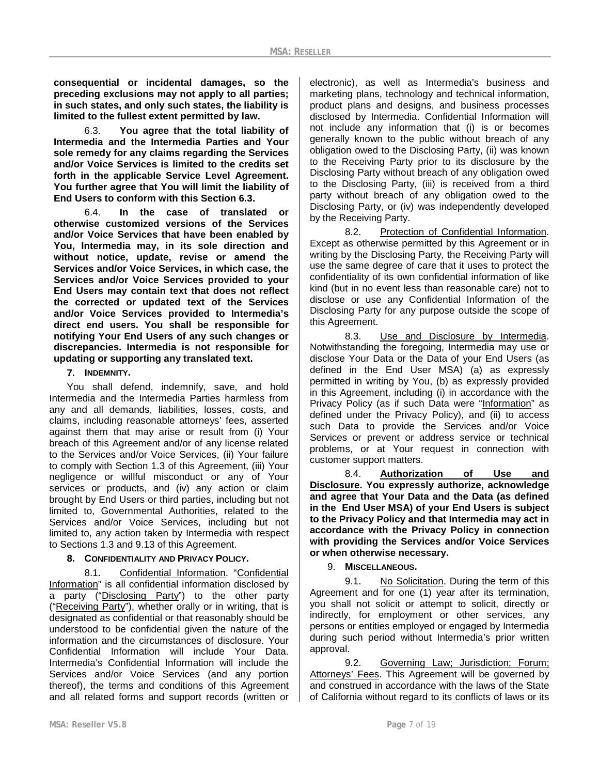**consequential or incidental damages, so the preceding exclusions may not apply to all parties; in such states, and only such states, the liability is limited to the fullest extent permitted by law.**

6.3. **You agree that the total liability of Intermedia and the Intermedia Parties and Your sole remedy for any claims regarding the Services and/or Voice Services is limited to the credits set forth in the applicable Service Level Agreement. You further agree that You will limit the liability of End Users to conform with this Section 6.3.**

6.4. **In the case of translated or otherwise customized versions of the Services and/or Voice Services that have been enabled by You, Intermedia may, in its sole direction and without notice, update, revise or amend the Services and/or Voice Services, in which case, the Services and/or Voice Services provided to your End Users may contain text that does not reflect the corrected or updated text of the Services and/or Voice Services provided to Intermedia's direct end users. You shall be responsible for notifying Your End Users of any such changes or discrepancies. Intermedia is not responsible for updating or supporting any translated text.**

### **7. INDEMNITY.**

You shall defend, indemnify, save, and hold Intermedia and the Intermedia Parties harmless from any and all demands, liabilities, losses, costs, and claims, including reasonable attorneys' fees, asserted against them that may arise or result from (i) Your breach of this Agreement and/or of any license related to the Services and/or Voice Services, (ii) Your failure to comply with Section 1.3 of this Agreement, (iii) Your negligence or willful misconduct or any of Your services or products, and (iv) any action or claim brought by End Users or third parties, including but not limited to, Governmental Authorities, related to the Services and/or Voice Services, including but not limited to, any action taken by Intermedia with respect to Sections 1.3 and 9.13 of this Agreement.

### **8. CONFIDENTIALITY AND PRIVACY POLICY.**

8.1. Confidential Information. "Confidential Information" is all confidential information disclosed by a party ("Disclosing Party") to the other party ("Receiving Party"), whether orally or in writing, that is designated as confidential or that reasonably should be understood to be confidential given the nature of the information and the circumstances of disclosure. Your Confidential Information will include Your Data. Intermedia's Confidential Information will include the Services and/or Voice Services (and any portion thereof), the terms and conditions of this Agreement and all related forms and support records (written or

electronic), as well as Intermedia's business and marketing plans, technology and technical information, product plans and designs, and business processes disclosed by Intermedia. Confidential Information will not include any information that (i) is or becomes generally known to the public without breach of any obligation owed to the Disclosing Party, (ii) was known to the Receiving Party prior to its disclosure by the Disclosing Party without breach of any obligation owed to the Disclosing Party, (iii) is received from a third party without breach of any obligation owed to the Disclosing Party, or (iv) was independently developed by the Receiving Party.

8.2. Protection of Confidential Information. Except as otherwise permitted by this Agreement or in writing by the Disclosing Party, the Receiving Party will use the same degree of care that it uses to protect the confidentiality of its own confidential information of like kind (but in no event less than reasonable care) not to disclose or use any Confidential Information of the Disclosing Party for any purpose outside the scope of this Agreement.

8.3. Use and Disclosure by Intermedia. Notwithstanding the foregoing, Intermedia may use or disclose Your Data or the Data of your End Users (as defined in the End User MSA) (a) as expressly permitted in writing by You, (b) as expressly provided in this Agreement, including (i) in accordance with the Privacy Policy (as if such Data were "Information" as defined under the Privacy Policy), and (ii) to access such Data to provide the Services and/or Voice Services or prevent or address service or technical problems, or at Your request in connection with customer support matters.

8.4. **Authorization of Use and Disclosure. You expressly authorize, acknowledge and agree that Your Data and the Data (as defined in the End User MSA) of your End Users is subject to the Privacy Policy and that Intermedia may act in accordance with the Privacy Policy in connection with providing the Services and/or Voice Services or when otherwise necessary.**

9. **MISCELLANEOUS.**

9.1. No Solicitation. During the term of this Agreement and for one (1) year after its termination, you shall not solicit or attempt to solicit, directly or indirectly, for employment or other services, any persons or entities employed or engaged by Intermedia during such period without Intermedia's prior written approval.

9.2. Governing Law; Jurisdiction; Forum; Attorneys' Fees. This Agreement will be governed by and construed in accordance with the laws of the State of California without regard to its conflicts of laws or its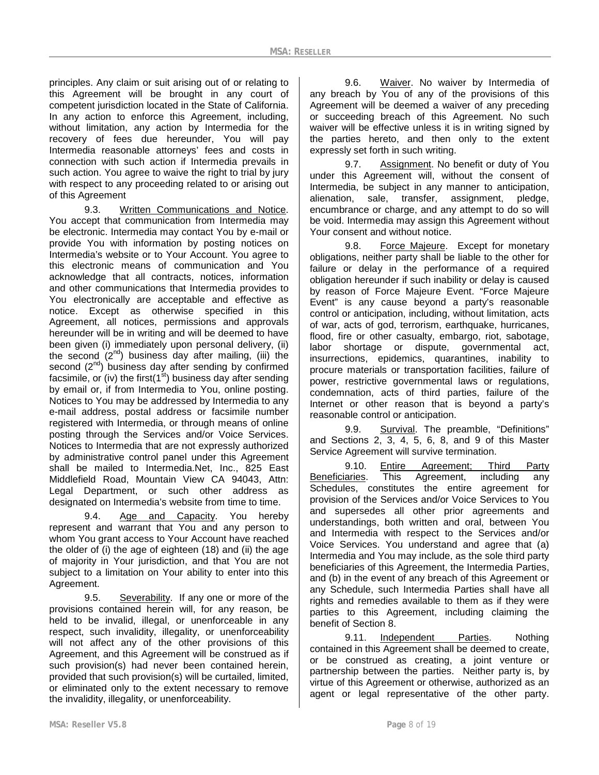principles. Any claim or suit arising out of or relating to this Agreement will be brought in any court of competent jurisdiction located in the State of California. In any action to enforce this Agreement, including, without limitation, any action by Intermedia for the recovery of fees due hereunder, You will pay Intermedia reasonable attorneys' fees and costs in connection with such action if Intermedia prevails in such action. You agree to waive the right to trial by jury with respect to any proceeding related to or arising out of this Agreement

9.3. Written Communications and Notice. You accept that communication from Intermedia may be electronic. Intermedia may contact You by e-mail or provide You with information by posting notices on Intermedia's website or to Your Account. You agree to this electronic means of communication and You acknowledge that all contracts, notices, information and other communications that Intermedia provides to You electronically are acceptable and effective as notice. Except as otherwise specified in this Agreement, all notices, permissions and approvals hereunder will be in writing and will be deemed to have been given (i) immediately upon personal delivery, (ii) the second  $(2^{nd})$  business day after mailing, (iii) the second  $(2^{nd})$  business day after sending by confirmed facsimile, or (iv) the first( $1<sup>st</sup>$ ) business day after sending by email or, if from Intermedia to You, online posting. Notices to You may be addressed by Intermedia to any e-mail address, postal address or facsimile number registered with Intermedia, or through means of online posting through the Services and/or Voice Services. Notices to Intermedia that are not expressly authorized by administrative control panel under this Agreement shall be mailed to Intermedia.Net, Inc., 825 East Middlefield Road, Mountain View CA 94043, Attn: Legal Department, or such other address as designated on Intermedia's website from time to time.

9.4. Age and Capacity. You hereby represent and warrant that You and any person to whom You grant access to Your Account have reached the older of (i) the age of eighteen (18) and (ii) the age of majority in Your jurisdiction, and that You are not subject to a limitation on Your ability to enter into this Agreement.

9.5. Severability. If any one or more of the provisions contained herein will, for any reason, be held to be invalid, illegal, or unenforceable in any respect, such invalidity, illegality, or unenforceability will not affect any of the other provisions of this Agreement, and this Agreement will be construed as if such provision(s) had never been contained herein, provided that such provision(s) will be curtailed, limited, or eliminated only to the extent necessary to remove the invalidity, illegality, or unenforceability.

9.6. Waiver. No waiver by Intermedia of any breach by You of any of the provisions of this Agreement will be deemed a waiver of any preceding or succeeding breach of this Agreement. No such waiver will be effective unless it is in writing signed by the parties hereto, and then only to the extent expressly set forth in such writing.

9.7. Assignment. No benefit or duty of You under this Agreement will, without the consent of Intermedia, be subject in any manner to anticipation, alienation, sale, transfer, assignment, pledge, encumbrance or charge, and any attempt to do so will be void. Intermedia may assign this Agreement without Your consent and without notice.

9.8. Force Majeure. Except for monetary obligations, neither party shall be liable to the other for failure or delay in the performance of a required obligation hereunder if such inability or delay is caused by reason of Force Majeure Event. "Force Majeure Event" is any cause beyond a party's reasonable control or anticipation, including, without limitation, acts of war, acts of god, terrorism, earthquake, hurricanes, flood, fire or other casualty, embargo, riot, sabotage, labor shortage or dispute, governmental act, insurrections, epidemics, quarantines, inability to procure materials or transportation facilities, failure of power, restrictive governmental laws or regulations, condemnation, acts of third parties, failure of the Internet or other reason that is beyond a party's reasonable control or anticipation.

9.9. Survival. The preamble, "Definitions" and Sections 2, 3, 4, 5, 6, 8, and 9 of this Master Service Agreement will survive termination.

9.10. Entire Agreement; Third Party Beneficiaries. This Agreement, including any Schedules, constitutes the entire agreement for provision of the Services and/or Voice Services to You and supersedes all other prior agreements and understandings, both written and oral, between You and Intermedia with respect to the Services and/or Voice Services. You understand and agree that (a) Intermedia and You may include, as the sole third party beneficiaries of this Agreement, the Intermedia Parties, and (b) in the event of any breach of this Agreement or any Schedule, such Intermedia Parties shall have all rights and remedies available to them as if they were parties to this Agreement, including claiming the benefit of Section 8.

9.11. Independent Parties. Nothing contained in this Agreement shall be deemed to create, or be construed as creating, a joint venture or partnership between the parties. Neither party is, by virtue of this Agreement or otherwise, authorized as an agent or legal representative of the other party.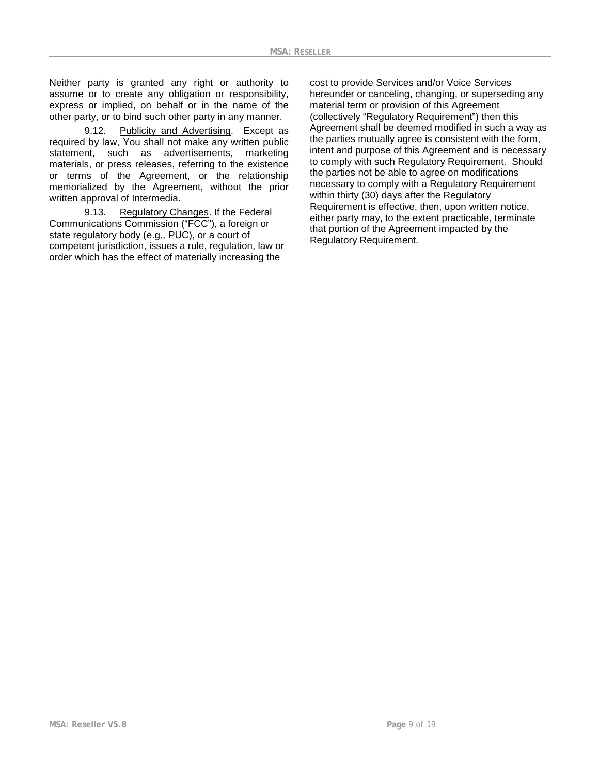Neither party is granted any right or authority to assume or to create any obligation or responsibility, express or implied, on behalf or in the name of the other party, or to bind such other party in any manner.

9.12. Publicity and Advertising. Except as required by law, You shall not make any written public statement, such as advertisements, marketing materials, or press releases, referring to the existence or terms of the Agreement, or the relationship memorialized by the Agreement, without the prior written approval of Intermedia.

9.13. Regulatory Changes. If the Federal Communications Commission ("FCC"), a foreign or state regulatory body (e.g., PUC), or a court of competent jurisdiction, issues a rule, regulation, law or order which has the effect of materially increasing the

cost to provide Services and/or Voice Services hereunder or canceling, changing, or superseding any material term or provision of this Agreement (collectively "Regulatory Requirement") then this Agreement shall be deemed modified in such a way as the parties mutually agree is consistent with the form, intent and purpose of this Agreement and is necessary to comply with such Regulatory Requirement. Should the parties not be able to agree on modifications necessary to comply with a Regulatory Requirement within thirty (30) days after the Regulatory Requirement is effective, then, upon written notice, either party may, to the extent practicable, terminate that portion of the Agreement impacted by the Regulatory Requirement.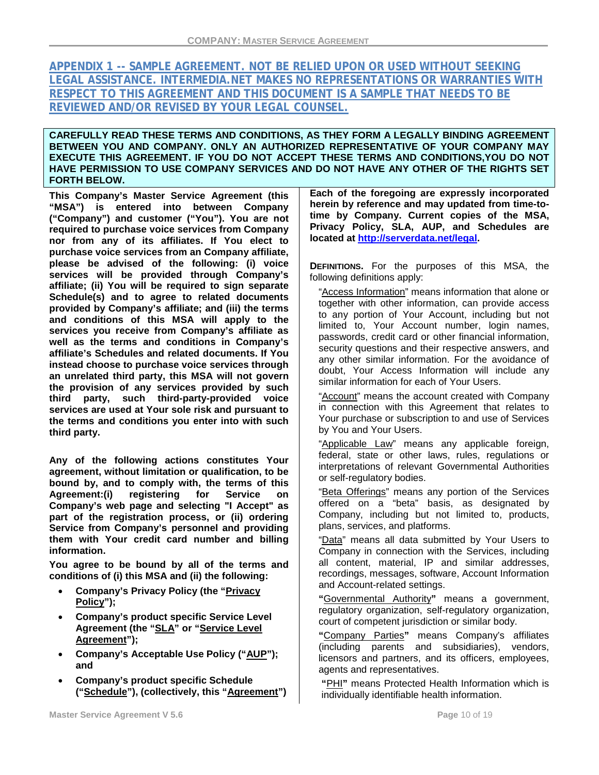# **APPENDIX 1 -- SAMPLE AGREEMENT. NOT BE RELIED UPON OR USED WITHOUT SEEKING LEGAL ASSISTANCE. INTERMEDIA.NET MAKES NO REPRESENTATIONS OR WARRANTIES WITH RESPECT TO THIS AGREEMENT AND THIS DOCUMENT IS A SAMPLE THAT NEEDS TO BE REVIEWED AND/OR REVISED BY YOUR LEGAL COUNSEL.**

### **CAREFULLY READ THESE TERMS AND CONDITIONS, AS THEY FORM A LEGALLY BINDING AGREEMENT BETWEEN YOU AND COMPANY. ONLY AN AUTHORIZED REPRESENTATIVE OF YOUR COMPANY MAY EXECUTE THIS AGREEMENT. IF YOU DO NOT ACCEPT THESE TERMS AND CONDITIONS,YOU DO NOT HAVE PERMISSION TO USE COMPANY SERVICES AND DO NOT HAVE ANY OTHER OF THE RIGHTS SET FORTH BELOW.**

**This Company's Master Service Agreement (this "MSA") is entered into between Company ("Company") and customer ("You"). You are not required to purchase voice services from Company nor from any of its affiliates. If You elect to purchase voice services from an Company affiliate, please be advised of the following: (i) voice services will be provided through Company's affiliate; (ii) You will be required to sign separate Schedule(s) and to agree to related documents provided by Company's affiliate; and (iii) the terms and conditions of this MSA will apply to the services you receive from Company's affiliate as well as the terms and conditions in Company's affiliate's Schedules and related documents. If You instead choose to purchase voice services through an unrelated third party, this MSA will not govern the provision of any services provided by such third party, such third-party-provided voice services are used at Your sole risk and pursuant to the terms and conditions you enter into with such third party.**

**Any of the following actions constitutes Your agreement, without limitation or qualification, to be bound by, and to comply with, the terms of this**  registering for **Company's web page and selecting "I Accept" as part of the registration process, or (ii) ordering Service from Company's personnel and providing them with Your credit card number and billing information.** 

**You agree to be bound by all of the terms and conditions of (i) this MSA and (ii) the following:** 

- **Company's Privacy Policy (the "Privacy Policy");**
- **Company's product specific Service Level Agreement (the "SLA" or "Service Level Agreement");**
- **Company's Acceptable Use Policy ("AUP"); and**
- **Company's product specific Schedule ("Schedule"), (collectively, this "Agreement")**

**Each of the foregoing are expressly incorporated herein by reference and may updated from time-totime by Company. Current copies of the MSA, Privacy Policy, SLA, AUP, and Schedules are located at [http://serverdata.net/legal.](http://serverdata.net/legal)** 

**DEFINITIONS.** For the purposes of this MSA, the following definitions apply:

"Access Information" means information that alone or together with other information, can provide access to any portion of Your Account, including but not limited to, Your Account number, login names. passwords, credit card or other financial information, security questions and their respective answers, and any other similar information. For the avoidance of doubt, Your Access Information will include any similar information for each of Your Users.

"Account" means the account created with Company in connection with this Agreement that relates to Your purchase or subscription to and use of Services by You and Your Users.

"Applicable Law" means any applicable foreign, federal, state or other laws, rules, regulations or interpretations of relevant Governmental Authorities or self-regulatory bodies.

"Beta Offerings" means any portion of the Services offered on a "beta" basis, as designated by Company, including but not limited to, products, plans, services, and platforms.

"Data" means all data submitted by Your Users to Company in connection with the Services, including all content, material, IP and similar addresses, recordings, messages, software, Account Information and Account-related settings.

**"**Governmental Authority**"** means a government, regulatory organization, self-regulatory organization, court of competent jurisdiction or similar body.

**"**Company Parties**"** means Company's affiliates (including parents and subsidiaries), vendors, licensors and partners, and its officers, employees, agents and representatives.

**"**PHI**"** means Protected Health Information which is individually identifiable health information.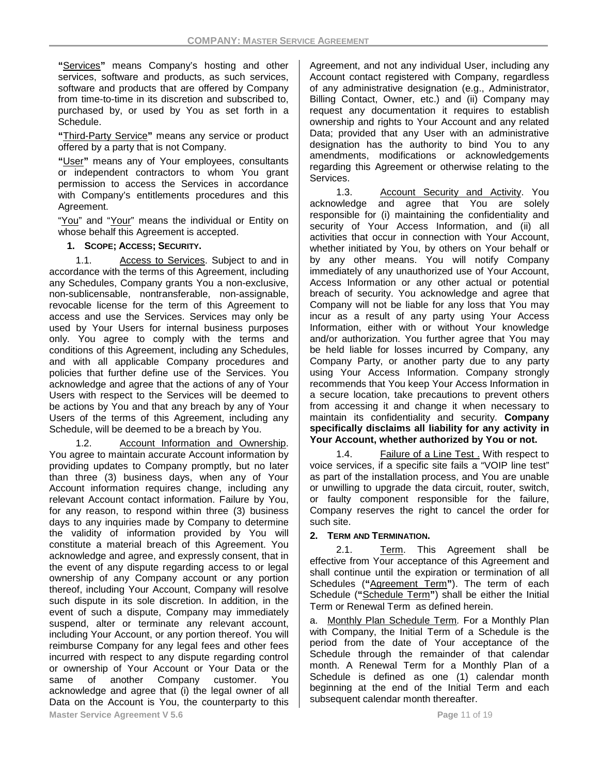**"**Services**"** means Company's hosting and other services, software and products, as such services, software and products that are offered by Company from time-to-time in its discretion and subscribed to, purchased by, or used by You as set forth in a Schedule.

**"**Third-Party Service**"** means any service or product offered by a party that is not Company.

**"**User**"** means any of Your employees, consultants or independent contractors to whom You grant permission to access the Services in accordance with Company's entitlements procedures and this Agreement.

"You" and "Your" means the individual or Entity on whose behalf this Agreement is accepted.

### **1. SCOPE; ACCESS; SECURITY.**

1.1. Access to Services. Subject to and in accordance with the terms of this Agreement, including any Schedules, Company grants You a non-exclusive, non-sublicensable, nontransferable, non-assignable, revocable license for the term of this Agreement to access and use the Services. Services may only be used by Your Users for internal business purposes only. You agree to comply with the terms and conditions of this Agreement, including any Schedules, and with all applicable Company procedures and policies that further define use of the Services. You acknowledge and agree that the actions of any of Your Users with respect to the Services will be deemed to be actions by You and that any breach by any of Your Users of the terms of this Agreement, including any Schedule, will be deemed to be a breach by You.

1.2. Account Information and Ownership. You agree to maintain accurate Account information by providing updates to Company promptly, but no later than three (3) business days, when any of Your Account information requires change, including any relevant Account contact information. Failure by You, for any reason, to respond within three (3) business days to any inquiries made by Company to determine the validity of information provided by You will constitute a material breach of this Agreement. You acknowledge and agree, and expressly consent, that in the event of any dispute regarding access to or legal ownership of any Company account or any portion thereof, including Your Account, Company will resolve such dispute in its sole discretion. In addition, in the event of such a dispute, Company may immediately suspend, alter or terminate any relevant account, including Your Account, or any portion thereof. You will reimburse Company for any legal fees and other fees incurred with respect to any dispute regarding control or ownership of Your Account or Your Data or the same of another Company customer. You acknowledge and agree that (i) the legal owner of all Data on the Account is You, the counterparty to this **Master Service Agreement V 5.6 Page 11 of 19** 

Agreement, and not any individual User, including any Account contact registered with Company, regardless of any administrative designation (e.g., Administrator, Billing Contact, Owner, etc.) and (ii) Company may request any documentation it requires to establish ownership and rights to Your Account and any related Data; provided that any User with an administrative designation has the authority to bind You to any amendments, modifications or acknowledgements regarding this Agreement or otherwise relating to the Services.

1.3. Account Security and Activity. You acknowledge and agree that You are solely responsible for (i) maintaining the confidentiality and security of Your Access Information, and (ii) all activities that occur in connection with Your Account, whether initiated by You, by others on Your behalf or by any other means. You will notify Company immediately of any unauthorized use of Your Account, Access Information or any other actual or potential breach of security. You acknowledge and agree that Company will not be liable for any loss that You may incur as a result of any party using Your Access Information, either with or without Your knowledge and/or authorization. You further agree that You may be held liable for losses incurred by Company, any Company Party, or another party due to any party using Your Access Information. Company strongly recommends that You keep Your Access Information in a secure location, take precautions to prevent others from accessing it and change it when necessary to maintain its confidentiality and security. **Company specifically disclaims all liability for any activity in Your Account, whether authorized by You or not.**

1.4. Failure of a Line Test . With respect to voice services, if a specific site fails a "VOIP line test" as part of the installation process, and You are unable or unwilling to upgrade the data circuit, router, switch, or faulty component responsible for the failure, Company reserves the right to cancel the order for such site.

### **2. TERM AND TERMINATION.**

2.1. Term. This Agreement shall be effective from Your acceptance of this Agreement and shall continue until the expiration or termination of all Schedules (**"**Agreement Term**"**). The term of each Schedule (**"**Schedule Term**"**) shall be either the Initial Term or Renewal Term as defined herein.

a. Monthly Plan Schedule Term*.* For a Monthly Plan with Company, the Initial Term of a Schedule is the period from the date of Your acceptance of the Schedule through the remainder of that calendar month. A Renewal Term for a Monthly Plan of a Schedule is defined as one (1) calendar month beginning at the end of the Initial Term and each subsequent calendar month thereafter.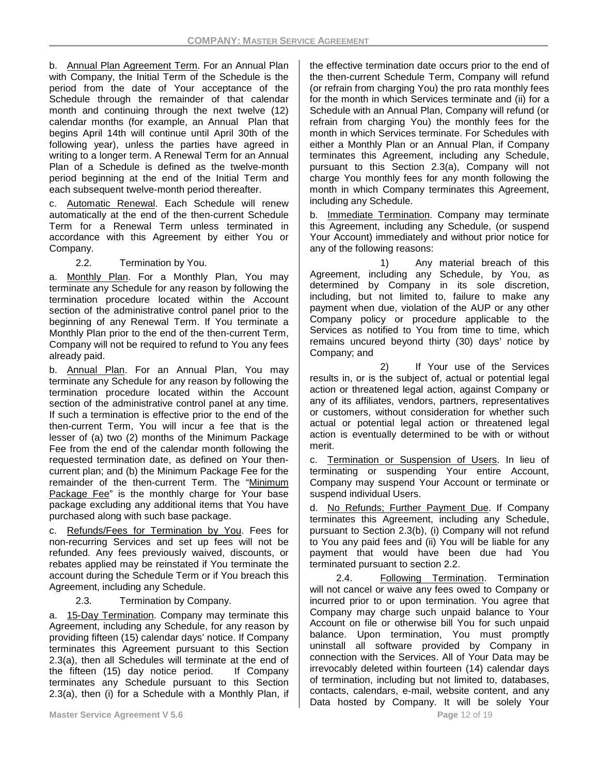b. Annual Plan Agreement Term. For an Annual Plan with Company, the Initial Term of the Schedule is the period from the date of Your acceptance of the Schedule through the remainder of that calendar month and continuing through the next twelve (12) calendar months (for example, an Annual Plan that begins April 14th will continue until April 30th of the following year), unless the parties have agreed in writing to a longer term. A Renewal Term for an Annual Plan of a Schedule is defined as the twelve-month period beginning at the end of the Initial Term and each subsequent twelve-month period thereafter.

c. Automatic Renewal. Each Schedule will renew automatically at the end of the then-current Schedule Term for a Renewal Term unless terminated in accordance with this Agreement by either You or Company.

## 2.2. Termination by You.

a. Monthly Plan. For a Monthly Plan, You may terminate any Schedule for any reason by following the termination procedure located within the Account section of the administrative control panel prior to the beginning of any Renewal Term. If You terminate a Monthly Plan prior to the end of the then-current Term, Company will not be required to refund to You any fees already paid.

b. Annual Plan. For an Annual Plan, You may terminate any Schedule for any reason by following the termination procedure located within the Account section of the administrative control panel at any time. If such a termination is effective prior to the end of the then-current Term, You will incur a fee that is the lesser of (a) two (2) months of the Minimum Package Fee from the end of the calendar month following the requested termination date, as defined on Your thencurrent plan; and (b) the Minimum Package Fee for the remainder of the then-current Term. The "Minimum Package Fee" is the monthly charge for Your base package excluding any additional items that You have purchased along with such base package.

c. Refunds/Fees for Termination by You. Fees for non-recurring Services and set up fees will not be refunded. Any fees previously waived, discounts, or rebates applied may be reinstated if You terminate the account during the Schedule Term or if You breach this Agreement, including any Schedule.

## 2.3. Termination by Company.

a. 15-Day Termination. Company may terminate this Agreement, including any Schedule, for any reason by providing fifteen (15) calendar days' notice. If Company terminates this Agreement pursuant to this Section 2.3(a), then all Schedules will terminate at the end of the fifteen (15) day notice period. If Company terminates any Schedule pursuant to this Section 2.3(a), then (i) for a Schedule with a Monthly Plan, if the effective termination date occurs prior to the end of the then-current Schedule Term, Company will refund (or refrain from charging You) the pro rata monthly fees for the month in which Services terminate and (ii) for a Schedule with an Annual Plan, Company will refund (or refrain from charging You) the monthly fees for the month in which Services terminate. For Schedules with either a Monthly Plan or an Annual Plan, if Company terminates this Agreement, including any Schedule, pursuant to this Section 2.3(a), Company will not charge You monthly fees for any month following the month in which Company terminates this Agreement, including any Schedule.

b. Immediate Termination. Company may terminate this Agreement, including any Schedule, (or suspend Your Account) immediately and without prior notice for any of the following reasons:

1) Any material breach of this Agreement, including any Schedule, by You, as determined by Company in its sole discretion, including, but not limited to, failure to make any payment when due, violation of the AUP or any other Company policy or procedure applicable to the Services as notified to You from time to time, which remains uncured beyond thirty (30) days' notice by Company; and

2) If Your use of the Services results in, or is the subject of, actual or potential legal action or threatened legal action, against Company or any of its affiliates, vendors, partners, representatives or customers, without consideration for whether such actual or potential legal action or threatened legal action is eventually determined to be with or without merit.

c. Termination or Suspension of Users. In lieu of terminating or suspending Your entire Account, Company may suspend Your Account or terminate or suspend individual Users.

d. No Refunds; Further Payment Due. If Company terminates this Agreement, including any Schedule, pursuant to Section 2.3(b), (i) Company will not refund to You any paid fees and (ii) You will be liable for any payment that would have been due had You terminated pursuant to section 2.2.

2.4. Following Termination. Termination will not cancel or waive any fees owed to Company or incurred prior to or upon termination. You agree that Company may charge such unpaid balance to Your Account on file or otherwise bill You for such unpaid balance. Upon termination, You must promptly uninstall all software provided by Company in connection with the Services. All of Your Data may be irrevocably deleted within fourteen (14) calendar days of termination, including but not limited to, databases, contacts, calendars, e-mail, website content, and any Data hosted by Company. It will be solely Your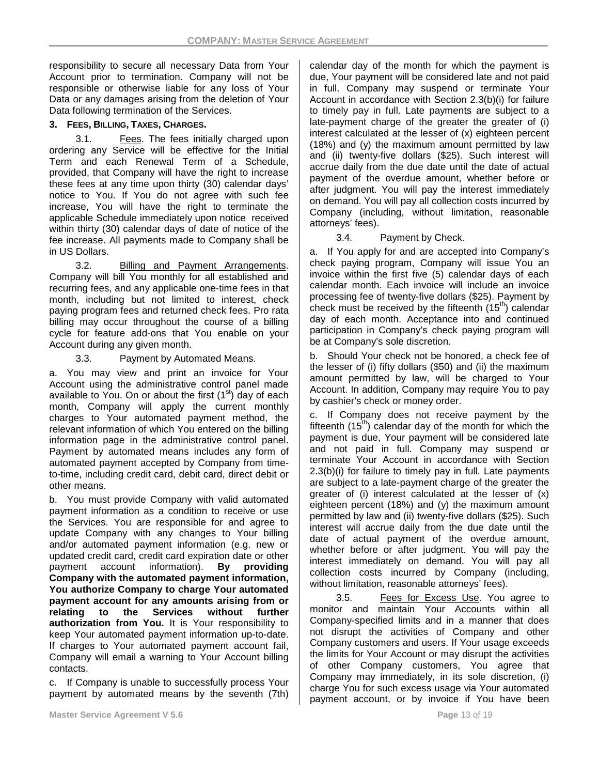responsibility to secure all necessary Data from Your Account prior to termination. Company will not be responsible or otherwise liable for any loss of Your Data or any damages arising from the deletion of Your Data following termination of the Services.

### **3. FEES, BILLING, TAXES, CHARGES.**

3.1. Fees. The fees initially charged upon ordering any Service will be effective for the Initial Term and each Renewal Term of a Schedule, provided, that Company will have the right to increase these fees at any time upon thirty (30) calendar days' notice to You. If You do not agree with such fee increase, You will have the right to terminate the applicable Schedule immediately upon notice received within thirty (30) calendar days of date of notice of the fee increase. All payments made to Company shall be in US Dollars.

3.2. Billing and Payment Arrangements. Company will bill You monthly for all established and recurring fees, and any applicable one-time fees in that month, including but not limited to interest, check paying program fees and returned check fees. Pro rata billing may occur throughout the course of a billing cycle for feature add-ons that You enable on your Account during any given month.

### 3.3. Payment by Automated Means.

a. You may view and print an invoice for Your Account using the administrative control panel made available to You. On or about the first  $(1<sup>st</sup>)$  day of each month, Company will apply the current monthly charges to Your automated payment method, the relevant information of which You entered on the billing information page in the administrative control panel. Payment by automated means includes any form of automated payment accepted by Company from timeto-time, including credit card, debit card, direct debit or other means.

b. You must provide Company with valid automated payment information as a condition to receive or use the Services. You are responsible for and agree to update Company with any changes to Your billing and/or automated payment information (e.g. new or updated credit card, credit card expiration date or other payment account information). **By providing Company with the automated payment information, You authorize Company to charge Your automated payment account for any amounts arising from or relating to the Services without further authorization from You.** It is Your responsibility to keep Your automated payment information up-to-date. If charges to Your automated payment account fail, Company will email a warning to Your Account billing contacts.

c. If Company is unable to successfully process Your payment by automated means by the seventh (7th) calendar day of the month for which the payment is due, Your payment will be considered late and not paid in full. Company may suspend or terminate Your Account in accordance with Section 2.3(b)(i) for failure to timely pay in full. Late payments are subject to a late-payment charge of the greater the greater of (i) interest calculated at the lesser of (x) eighteen percent (18%) and (y) the maximum amount permitted by law and (ii) twenty-five dollars (\$25). Such interest will accrue daily from the due date until the date of actual payment of the overdue amount, whether before or after judgment. You will pay the interest immediately on demand. You will pay all collection costs incurred by Company (including, without limitation, reasonable attorneys' fees).

3.4. Payment by Check.

a. If You apply for and are accepted into Company's check paying program, Company will issue You an invoice within the first five (5) calendar days of each calendar month. Each invoice will include an invoice processing fee of twenty-five dollars (\$25). Payment by check must be received by the fifteenth  $(15<sup>th</sup>)$  calendar day of each month. Acceptance into and continued participation in Company's check paying program will be at Company's sole discretion.

b. Should Your check not be honored, a check fee of the lesser of (i) fifty dollars (\$50) and (ii) the maximum amount permitted by law, will be charged to Your Account. In addition, Company may require You to pay by cashier's check or money order.

c. If Company does not receive payment by the fifteenth  $(15<sup>th</sup>)$  calendar day of the month for which the payment is due, Your payment will be considered late and not paid in full. Company may suspend or terminate Your Account in accordance with Section 2.3(b)(i) for failure to timely pay in full. Late payments are subject to a late-payment charge of the greater the greater of (i) interest calculated at the lesser of (x) eighteen percent (18%) and (y) the maximum amount permitted by law and (ii) twenty-five dollars (\$25). Such interest will accrue daily from the due date until the date of actual payment of the overdue amount, whether before or after judgment. You will pay the interest immediately on demand. You will pay all collection costs incurred by Company (including, without limitation, reasonable attorneys' fees).

3.5. Fees for Excess Use. You agree to monitor and maintain Your Accounts within all Company-specified limits and in a manner that does not disrupt the activities of Company and other Company customers and users. If Your usage exceeds the limits for Your Account or may disrupt the activities of other Company customers, You agree that Company may immediately, in its sole discretion, (i) charge You for such excess usage via Your automated payment account, or by invoice if You have been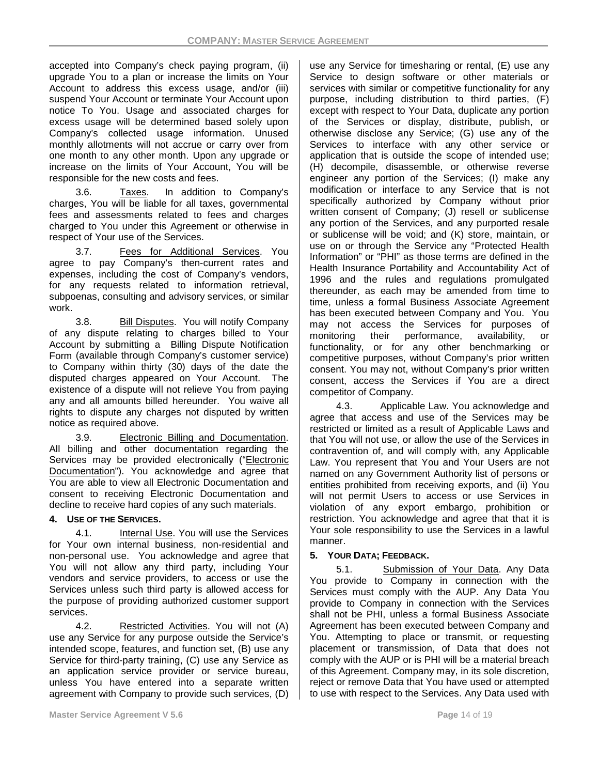accepted into Company's check paying program, (ii) upgrade You to a plan or increase the limits on Your Account to address this excess usage, and/or (iii) suspend Your Account or terminate Your Account upon notice To You. Usage and associated charges for excess usage will be determined based solely upon Company's collected usage information. Unused monthly allotments will not accrue or carry over from one month to any other month. Upon any upgrade or increase on the limits of Your Account, You will be responsible for the new costs and fees.

3.6. Taxes. In addition to Company's charges, You will be liable for all taxes, governmental fees and assessments related to fees and charges charged to You under this Agreement or otherwise in respect of Your use of the Services.

3.7. Fees for Additional Services. You agree to pay Company's then-current rates and expenses, including the cost of Company's vendors, for any requests related to information retrieval, subpoenas, consulting and advisory services, or similar work.

3.8. Bill Disputes. You will notify Company of any dispute relating to charges billed to Your Account by submitting a Billing Dispute Notification Form (available through Company's customer service) to Company within thirty (30) days of the date the disputed charges appeared on Your Account. The existence of a dispute will not relieve You from paying any and all amounts billed hereunder. You waive all rights to dispute any charges not disputed by written notice as required above.

3.9. Electronic Billing and Documentation. All billing and other documentation regarding the Services may be provided electronically ("Electronic Documentation"). You acknowledge and agree that You are able to view all Electronic Documentation and consent to receiving Electronic Documentation and decline to receive hard copies of any such materials.

### **4. USE OF THE SERVICES.**

4.1. Internal Use. You will use the Services for Your own internal business, non-residential and non-personal use. You acknowledge and agree that You will not allow any third party, including Your vendors and service providers, to access or use the Services unless such third party is allowed access for the purpose of providing authorized customer support services.

4.2. Restricted Activities. You will not (A) use any Service for any purpose outside the Service's intended scope, features, and function set, (B) use any Service for third-party training, (C) use any Service as an application service provider or service bureau, unless You have entered into a separate written agreement with Company to provide such services, (D) use any Service for timesharing or rental, (E) use any Service to design software or other materials or services with similar or competitive functionality for any purpose, including distribution to third parties, (F) except with respect to Your Data, duplicate any portion of the Services or display, distribute, publish, or otherwise disclose any Service; (G) use any of the Services to interface with any other service or application that is outside the scope of intended use; (H) decompile, disassemble, or otherwise reverse engineer any portion of the Services; (I) make any modification or interface to any Service that is not specifically authorized by Company without prior written consent of Company; (J) resell or sublicense any portion of the Services, and any purported resale or sublicense will be void; and (K) store, maintain, or use on or through the Service any "Protected Health Information" or "PHI" as those terms are defined in the Health Insurance Portability and Accountability Act of 1996 and the rules and regulations promulgated thereunder, as each may be amended from time to time, unless a formal Business Associate Agreement has been executed between Company and You. You may not access the Services for purposes of monitoring their performance, availability, or functionality, or for any other benchmarking or competitive purposes, without Company's prior written consent. You may not, without Company's prior written consent, access the Services if You are a direct competitor of Company.

4.3. Applicable Law. You acknowledge and agree that access and use of the Services may be restricted or limited as a result of Applicable Laws and that You will not use, or allow the use of the Services in contravention of, and will comply with, any Applicable Law. You represent that You and Your Users are not named on any Government Authority list of persons or entities prohibited from receiving exports, and (ii) You will not permit Users to access or use Services in violation of any export embargo, prohibition or restriction. You acknowledge and agree that that it is Your sole responsibility to use the Services in a lawful manner.

### **5. YOUR DATA; FEEDBACK.**

5.1. Submission of Your Data. Any Data You provide to Company in connection with the Services must comply with the AUP. Any Data You provide to Company in connection with the Services shall not be PHI, unless a formal Business Associate Agreement has been executed between Company and You. Attempting to place or transmit, or requesting placement or transmission, of Data that does not comply with the AUP or is PHI will be a material breach of this Agreement. Company may, in its sole discretion, reject or remove Data that You have used or attempted to use with respect to the Services. Any Data used with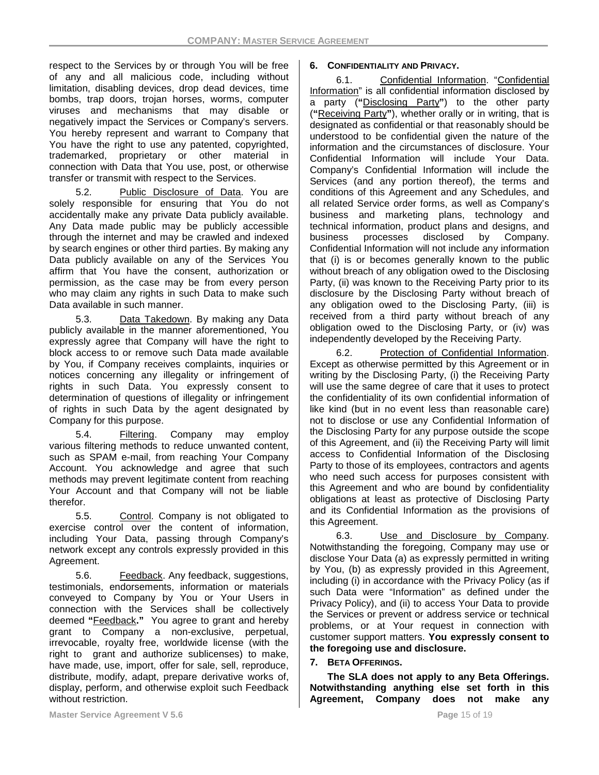respect to the Services by or through You will be free of any and all malicious code, including without limitation, disabling devices, drop dead devices, time bombs, trap doors, trojan horses, worms, computer viruses and mechanisms that may disable or negatively impact the Services or Company's servers. You hereby represent and warrant to Company that You have the right to use any patented, copyrighted, trademarked, proprietary or other material in connection with Data that You use, post, or otherwise transfer or transmit with respect to the Services.

5.2. Public Disclosure of Data. You are solely responsible for ensuring that You do not accidentally make any private Data publicly available. Any Data made public may be publicly accessible through the internet and may be crawled and indexed by search engines or other third parties. By making any Data publicly available on any of the Services You affirm that You have the consent, authorization or permission, as the case may be from every person who may claim any rights in such Data to make such Data available in such manner.

5.3. Data Takedown. By making any Data publicly available in the manner aforementioned, You expressly agree that Company will have the right to block access to or remove such Data made available by You, if Company receives complaints, inquiries or notices concerning any illegality or infringement of rights in such Data. You expressly consent to determination of questions of illegality or infringement of rights in such Data by the agent designated by Company for this purpose.

5.4. Filtering. Company may employ various filtering methods to reduce unwanted content, such as SPAM e-mail, from reaching Your Company Account. You acknowledge and agree that such methods may prevent legitimate content from reaching Your Account and that Company will not be liable therefor.

5.5. Control. Company is not obligated to exercise control over the content of information, including Your Data, passing through Company's network except any controls expressly provided in this Agreement.

5.6. Feedback. Any feedback, suggestions, testimonials, endorsements, information or materials conveyed to Company by You or Your Users in connection with the Services shall be collectively deemed **"**Feedback**."** You agree to grant and hereby grant to Company a non-exclusive, perpetual, irrevocable, royalty free, worldwide license (with the right to grant and authorize sublicenses) to make, have made, use, import, offer for sale, sell, reproduce, distribute, modify, adapt, prepare derivative works of, display, perform, and otherwise exploit such Feedback without restriction.

### **6. CONFIDENTIALITY AND PRIVACY.**

6.1. Confidential Information. "Confidential Information" is all confidential information disclosed by a party (**"**Disclosing Party**"**) to the other party (**"**Receiving Party**"**), whether orally or in writing, that is designated as confidential or that reasonably should be understood to be confidential given the nature of the information and the circumstances of disclosure. Your Confidential Information will include Your Data. Company's Confidential Information will include the Services (and any portion thereof), the terms and conditions of this Agreement and any Schedules, and all related Service order forms, as well as Company's business and marketing plans, technology and technical information, product plans and designs, and business processes disclosed by Company. Confidential Information will not include any information that (i) is or becomes generally known to the public without breach of any obligation owed to the Disclosing Party, (ii) was known to the Receiving Party prior to its disclosure by the Disclosing Party without breach of any obligation owed to the Disclosing Party, (iii) is received from a third party without breach of any obligation owed to the Disclosing Party, or (iv) was independently developed by the Receiving Party.

6.2. Protection of Confidential Information. Except as otherwise permitted by this Agreement or in writing by the Disclosing Party, (i) the Receiving Party will use the same degree of care that it uses to protect the confidentiality of its own confidential information of like kind (but in no event less than reasonable care) not to disclose or use any Confidential Information of the Disclosing Party for any purpose outside the scope of this Agreement, and (ii) the Receiving Party will limit access to Confidential Information of the Disclosing Party to those of its employees, contractors and agents who need such access for purposes consistent with this Agreement and who are bound by confidentiality obligations at least as protective of Disclosing Party and its Confidential Information as the provisions of this Agreement.

6.3. Use and Disclosure by Company. Notwithstanding the foregoing, Company may use or disclose Your Data (a) as expressly permitted in writing by You, (b) as expressly provided in this Agreement, including (i) in accordance with the Privacy Policy (as if such Data were "Information" as defined under the Privacy Policy), and (ii) to access Your Data to provide the Services or prevent or address service or technical problems, or at Your request in connection with customer support matters. **You expressly consent to the foregoing use and disclosure.**

### **7. BETA OFFERINGS.**

**The SLA does not apply to any Beta Offerings. Notwithstanding anything else set forth in this Agreement, Company does not make any**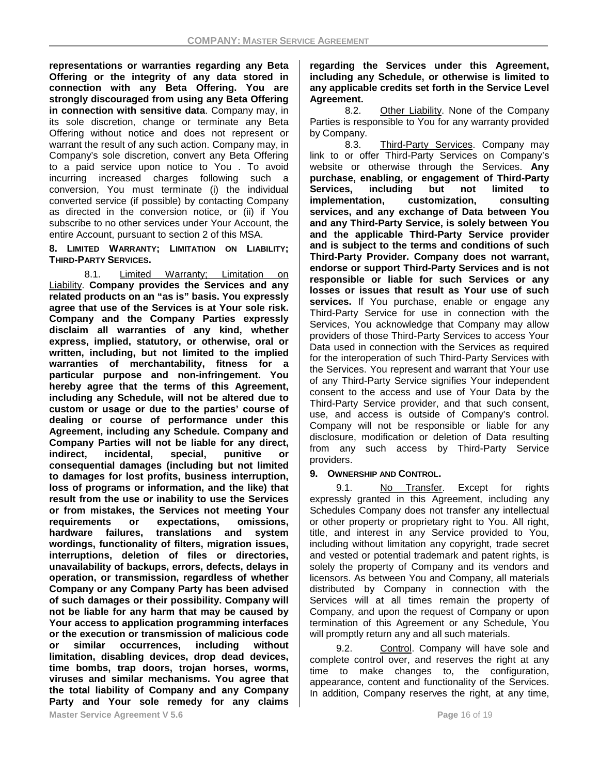**representations or warranties regarding any Beta Offering or the integrity of any data stored in connection with any Beta Offering. You are strongly discouraged from using any Beta Offering in connection with sensitive data**. Company may, in its sole discretion, change or terminate any Beta Offering without notice and does not represent or warrant the result of any such action. Company may, in Company's sole discretion, convert any Beta Offering to a paid service upon notice to You . To avoid incurring increased charges following such a conversion, You must terminate (i) the individual converted service (if possible) by contacting Company as directed in the conversion notice, or (ii) if You subscribe to no other services under Your Account, the entire Account, pursuant to section 2 of this MSA.

**8. LIMITED WARRANTY; LIMITATION ON LIABILITY; THIRD-PARTY SERVICES.**

8.1. Limited Warranty; Limitation on Liability. **Company provides the Services and any related products on an "as is" basis. You expressly agree that use of the Services is at Your sole risk. Company and the Company Parties expressly disclaim all warranties of any kind, whether express, implied, statutory, or otherwise, oral or written, including, but not limited to the implied warranties of merchantability, fitness for a particular purpose and non-infringement. You hereby agree that the terms of this Agreement, including any Schedule, will not be altered due to custom or usage or due to the parties' course of dealing or course of performance under this Agreement, including any Schedule. Company and Company Parties will not be liable for any direct, indirect, incidental, special, punitive or consequential damages (including but not limited to damages for lost profits, business interruption, loss of programs or information, and the like) that result from the use or inability to use the Services or from mistakes, the Services not meeting Your**  requirements or expectations, **hardware failures, translations and system wordings, functionality of filters, migration issues, interruptions, deletion of files or directories, unavailability of backups, errors, defects, delays in operation, or transmission, regardless of whether Company or any Company Party has been advised of such damages or their possibility. Company will not be liable for any harm that may be caused by Your access to application programming interfaces or the execution or transmission of malicious code**  or similar occurrences. **limitation, disabling devices, drop dead devices, time bombs, trap doors, trojan horses, worms, viruses and similar mechanisms. You agree that the total liability of Company and any Company Party and Your sole remedy for any claims**  **regarding the Services under this Agreement, including any Schedule, or otherwise is limited to any applicable credits set forth in the Service Level Agreement.**

8.2. Other Liability. None of the Company Parties is responsible to You for any warranty provided by Company.

8.3. Third-Party Services. Company may link to or offer Third-Party Services on Company's website or otherwise through the Services. **Any purchase, enabling, or engagement of Third-Party Services, including but not limited to implementation, customization, consulting services, and any exchange of Data between You and any Third-Party Service, is solely between You and the applicable Third-Party Service provider and is subject to the terms and conditions of such Third-Party Provider. Company does not warrant, endorse or support Third-Party Services and is not responsible or liable for such Services or any losses or issues that result as Your use of such services.** If You purchase, enable or engage any Third-Party Service for use in connection with the Services, You acknowledge that Company may allow providers of those Third-Party Services to access Your Data used in connection with the Services as required for the interoperation of such Third-Party Services with the Services. You represent and warrant that Your use of any Third-Party Service signifies Your independent consent to the access and use of Your Data by the Third-Party Service provider, and that such consent, use, and access is outside of Company's control. Company will not be responsible or liable for any disclosure, modification or deletion of Data resulting from any such access by Third-Party Service providers.

### **9. OWNERSHIP AND CONTROL.**

9.1. No Transfer. Except for rights expressly granted in this Agreement, including any Schedules Company does not transfer any intellectual or other property or proprietary right to You. All right, title, and interest in any Service provided to You, including without limitation any copyright, trade secret and vested or potential trademark and patent rights, is solely the property of Company and its vendors and licensors. As between You and Company, all materials distributed by Company in connection with the Services will at all times remain the property of Company, and upon the request of Company or upon termination of this Agreement or any Schedule, You will promptly return any and all such materials.

9.2. Control. Company will have sole and complete control over, and reserves the right at any time to make changes to, the configuration, appearance, content and functionality of the Services. In addition, Company reserves the right, at any time,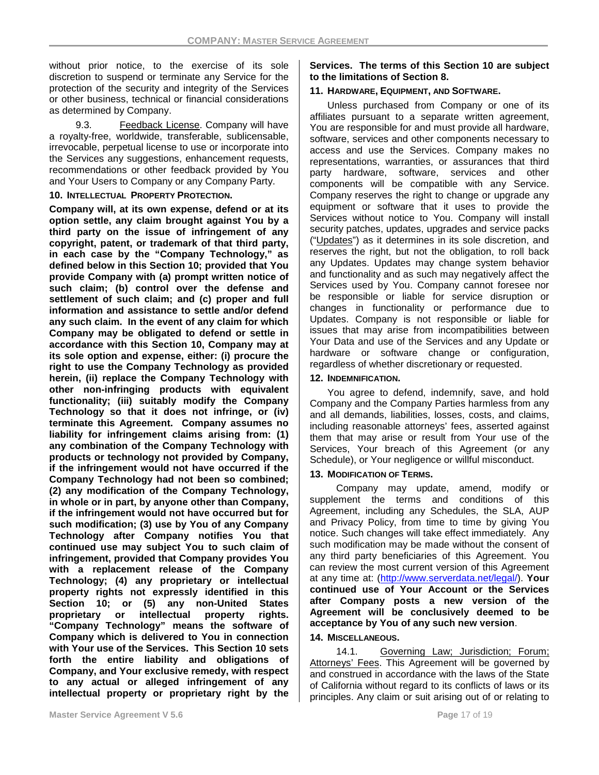without prior notice, to the exercise of its sole discretion to suspend or terminate any Service for the protection of the security and integrity of the Services or other business, technical or financial considerations as determined by Company.

9.3. Feedback License. Company will have a royalty-free, worldwide, transferable, sublicensable, irrevocable, perpetual license to use or incorporate into the Services any suggestions, enhancement requests, recommendations or other feedback provided by You and Your Users to Company or any Company Party.

#### **10. INTELLECTUAL PROPERTY PROTECTION.**

**Company will, at its own expense, defend or at its option settle, any claim brought against You by a third party on the issue of infringement of any copyright, patent, or trademark of that third party, in each case by the "Company Technology," as defined below in this Section 10; provided that You provide Company with (a) prompt written notice of such claim; (b) control over the defense and settlement of such claim; and (c) proper and full information and assistance to settle and/or defend any such claim. In the event of any claim for which Company may be obligated to defend or settle in accordance with this Section 10, Company may at its sole option and expense, either: (i) procure the right to use the Company Technology as provided herein, (ii) replace the Company Technology with other non-infringing products with equivalent functionality; (iii) suitably modify the Company Technology so that it does not infringe, or (iv) terminate this Agreement. Company assumes no liability for infringement claims arising from: (1) any combination of the Company Technology with products or technology not provided by Company, if the infringement would not have occurred if the Company Technology had not been so combined; (2) any modification of the Company Technology, in whole or in part, by anyone other than Company, if the infringement would not have occurred but for such modification; (3) use by You of any Company Technology after Company notifies You that continued use may subject You to such claim of infringement, provided that Company provides You with a replacement release of the Company Technology; (4) any proprietary or intellectual property rights not expressly identified in this Section 10; or (5) any non-United States proprietary or intellectual property rights. "Company Technology" means the software of Company which is delivered to You in connection with Your use of the Services. This Section 10 sets forth the entire liability and obligations of Company, and Your exclusive remedy, with respect to any actual or alleged infringement of any intellectual property or proprietary right by the** 

### **Services. The terms of this Section 10 are subject to the limitations of Section 8.**

### **11. HARDWARE, EQUIPMENT, AND SOFTWARE.**

Unless purchased from Company or one of its affiliates pursuant to a separate written agreement, You are responsible for and must provide all hardware, software, services and other components necessary to access and use the Services. Company makes no representations, warranties, or assurances that third party hardware, software, services and other components will be compatible with any Service. Company reserves the right to change or upgrade any equipment or software that it uses to provide the Services without notice to You. Company will install security patches, updates, upgrades and service packs ("Updates") as it determines in its sole discretion, and reserves the right, but not the obligation, to roll back any Updates. Updates may change system behavior and functionality and as such may negatively affect the Services used by You. Company cannot foresee nor be responsible or liable for service disruption or changes in functionality or performance due to Updates. Company is not responsible or liable for issues that may arise from incompatibilities between Your Data and use of the Services and any Update or hardware or software change or configuration, regardless of whether discretionary or requested.

### **12. INDEMNIFICATION.**

You agree to defend, indemnify, save, and hold Company and the Company Parties harmless from any and all demands, liabilities, losses, costs, and claims, including reasonable attorneys' fees, asserted against them that may arise or result from Your use of the Services, Your breach of this Agreement (or any Schedule), or Your negligence or willful misconduct.

### **13. MODIFICATION OF TERMS.**

Company may update, amend, modify or supplement the terms and conditions of this Agreement, including any Schedules, the SLA, AUP and Privacy Policy, from time to time by giving You notice. Such changes will take effect immediately. Any such modification may be made without the consent of any third party beneficiaries of this Agreement. You can review the most current version of this Agreement at any time at: [\(http://www.serverdata.net/legal/\)](http://www.serverdata.net/legal/). **Your continued use of Your Account or the Services after Company posts a new version of the Agreement will be conclusively deemed to be acceptance by You of any such new version**.

### **14. MISCELLANEOUS.**

14.1. Governing Law; Jurisdiction; Forum; Attorneys' Fees. This Agreement will be governed by and construed in accordance with the laws of the State of California without regard to its conflicts of laws or its principles. Any claim or suit arising out of or relating to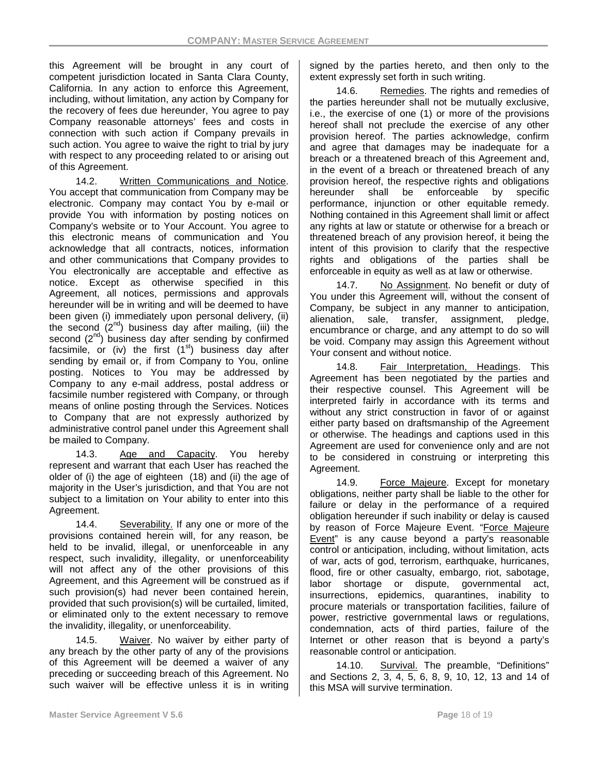this Agreement will be brought in any court of competent jurisdiction located in Santa Clara County, California. In any action to enforce this Agreement, including, without limitation, any action by Company for the recovery of fees due hereunder, You agree to pay Company reasonable attorneys' fees and costs in connection with such action if Company prevails in such action. You agree to waive the right to trial by jury with respect to any proceeding related to or arising out of this Agreement.

14.2. Written Communications and Notice. You accept that communication from Company may be electronic. Company may contact You by e-mail or provide You with information by posting notices on Company's website or to Your Account. You agree to this electronic means of communication and You acknowledge that all contracts, notices, information and other communications that Company provides to You electronically are acceptable and effective as notice. Except as otherwise specified in this Agreement, all notices, permissions and approvals hereunder will be in writing and will be deemed to have been given (i) immediately upon personal delivery, (ii) the second  $(2^{nd})$  business day after mailing, (iii) the second  $(2^{nd})$  business day after sending by confirmed facsimile, or (iv) the first  $(1<sup>st</sup>)$  business day after sending by email or, if from Company to You, online posting. Notices to You may be addressed by Company to any e-mail address, postal address or facsimile number registered with Company, or through means of online posting through the Services. Notices to Company that are not expressly authorized by administrative control panel under this Agreement shall be mailed to Company.

14.3. Age and Capacity. You hereby represent and warrant that each User has reached the older of (i) the age of eighteen (18) and (ii) the age of majority in the User's jurisdiction, and that You are not subject to a limitation on Your ability to enter into this Agreement.

14.4. Severability. If any one or more of the provisions contained herein will, for any reason, be held to be invalid, illegal, or unenforceable in any respect, such invalidity, illegality, or unenforceability will not affect any of the other provisions of this Agreement, and this Agreement will be construed as if such provision(s) had never been contained herein, provided that such provision(s) will be curtailed, limited, or eliminated only to the extent necessary to remove the invalidity, illegality, or unenforceability.

14.5. Waiver. No waiver by either party of any breach by the other party of any of the provisions of this Agreement will be deemed a waiver of any preceding or succeeding breach of this Agreement. No such waiver will be effective unless it is in writing signed by the parties hereto, and then only to the extent expressly set forth in such writing.

14.6. Remedies. The rights and remedies of the parties hereunder shall not be mutually exclusive, i.e., the exercise of one (1) or more of the provisions hereof shall not preclude the exercise of any other provision hereof. The parties acknowledge, confirm and agree that damages may be inadequate for a breach or a threatened breach of this Agreement and, in the event of a breach or threatened breach of any provision hereof, the respective rights and obligations hereunder shall be enforceable by specific performance, injunction or other equitable remedy. Nothing contained in this Agreement shall limit or affect any rights at law or statute or otherwise for a breach or threatened breach of any provision hereof, it being the intent of this provision to clarify that the respective rights and obligations of the parties shall be enforceable in equity as well as at law or otherwise.

14.7. No Assignment. No benefit or duty of You under this Agreement will, without the consent of Company, be subject in any manner to anticipation, alienation, sale, transfer, assignment, pledge, encumbrance or charge, and any attempt to do so will be void. Company may assign this Agreement without Your consent and without notice.

14.8. Fair Interpretation, Headings. This Agreement has been negotiated by the parties and their respective counsel. This Agreement will be interpreted fairly in accordance with its terms and without any strict construction in favor of or against either party based on draftsmanship of the Agreement or otherwise. The headings and captions used in this Agreement are used for convenience only and are not to be considered in construing or interpreting this Agreement.

14.9. Force Majeure. Except for monetary obligations, neither party shall be liable to the other for failure or delay in the performance of a required obligation hereunder if such inability or delay is caused by reason of Force Majeure Event. "Force Majeure Event" is any cause beyond a party's reasonable control or anticipation, including, without limitation, acts of war, acts of god, terrorism, earthquake, hurricanes, flood, fire or other casualty, embargo, riot, sabotage, labor shortage or dispute, governmental act, insurrections, epidemics, quarantines, inability to procure materials or transportation facilities, failure of power, restrictive governmental laws or regulations, condemnation, acts of third parties, failure of the Internet or other reason that is beyond a party's reasonable control or anticipation.

14.10. Survival. The preamble, "Definitions" and Sections 2, 3, 4, 5, 6, 8, 9, 10, 12, 13 and 14 of this MSA will survive termination.